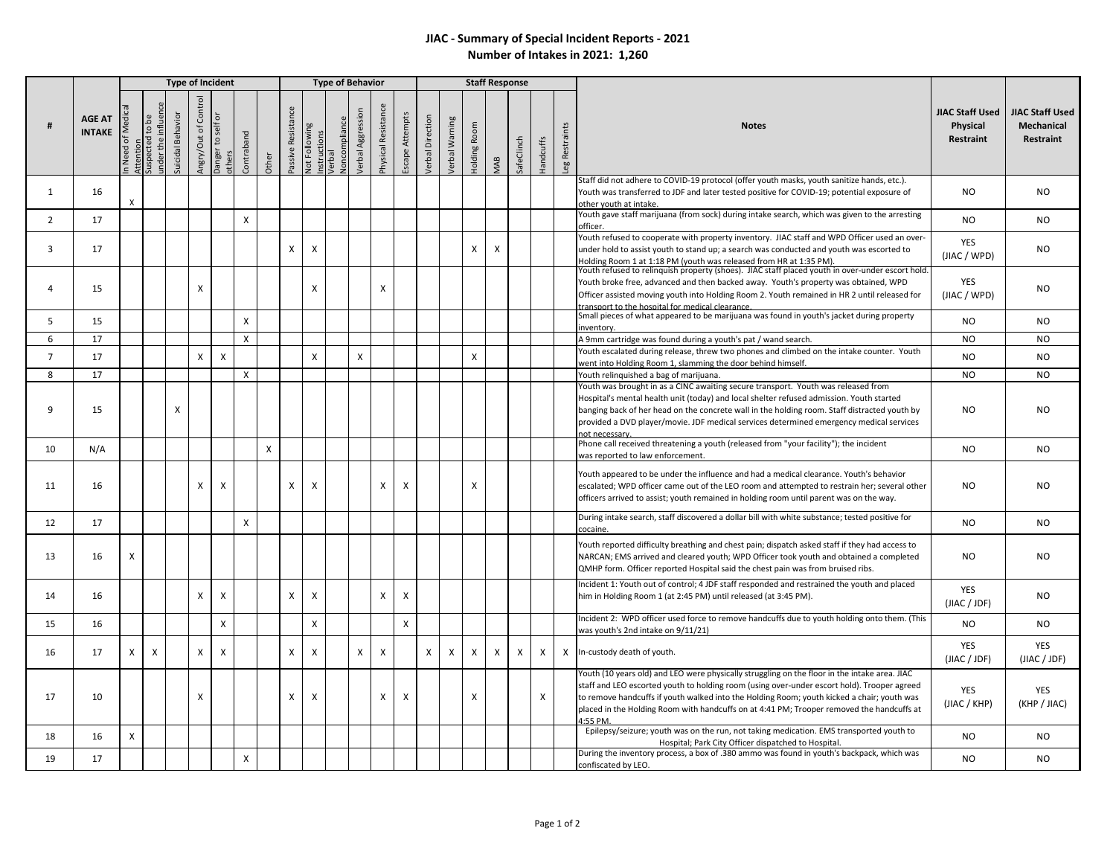## **JIAC - Summary of Special Incident Reports - 2021 Number of Intakes in 2021: 1,260**

|                | <b>AGE AT</b><br><b>INTAKE</b> |                          | <b>Type of Incident</b>                                                    |                      |                           |                                            |                           |       |                    |                      | <b>Type of Behavior</b>                       |                           |                     |                           |                         |               |                 | <b>Staff Response</b>     |            |                  |                |                                                                                                                                                                                                                                                                                                                                                                                                     |                                                 |                                                                 |
|----------------|--------------------------------|--------------------------|----------------------------------------------------------------------------|----------------------|---------------------------|--------------------------------------------|---------------------------|-------|--------------------|----------------------|-----------------------------------------------|---------------------------|---------------------|---------------------------|-------------------------|---------------|-----------------|---------------------------|------------|------------------|----------------|-----------------------------------------------------------------------------------------------------------------------------------------------------------------------------------------------------------------------------------------------------------------------------------------------------------------------------------------------------------------------------------------------------|-------------------------------------------------|-----------------------------------------------------------------|
|                |                                | Need of Medi<br>Attentio | inder the influer<br>$\mathsf{b}\mathsf{e}$<br>$\mathfrak{a}$<br>Suspected | Behavior<br>Suicidal | Control<br>Angry/Out of   | $\overline{a}$<br>Danger to self<br>others | Contraband                | Other | Passive Resistance | <b>Jot Following</b> | <b>Joncompliance</b><br>nstructions<br>/erbal | Verbal Aggression         | Physical Resistance | Escape Attempts           | <b>/erbal Direction</b> | erbal Warning | Room<br>Holding | MAB                       | SafeClinch | <b>Handcuffs</b> | Leg Restraints | <b>Notes</b>                                                                                                                                                                                                                                                                                                                                                                                        | JIAC Staff Used<br>Physical<br><b>Restraint</b> | <b>JIAC Staff Used</b><br><b>Mechanical</b><br><b>Restraint</b> |
|                |                                |                          |                                                                            |                      |                           |                                            |                           |       |                    |                      |                                               |                           |                     |                           |                         |               |                 |                           |            |                  |                | Staff did not adhere to COVID-19 protocol (offer youth masks, youth sanitize hands, etc.).                                                                                                                                                                                                                                                                                                          |                                                 |                                                                 |
| $\mathbf{1}$   | 16                             | $\mathsf{x}$             |                                                                            |                      |                           |                                            |                           |       |                    |                      |                                               |                           |                     |                           |                         |               |                 |                           |            |                  |                | Youth was transferred to JDF and later tested positive for COVID-19; potential exposure of                                                                                                                                                                                                                                                                                                          | <b>NO</b>                                       | NO                                                              |
|                |                                |                          |                                                                            |                      |                           |                                            |                           |       |                    |                      |                                               |                           |                     |                           |                         |               |                 |                           |            |                  |                | other youth at intake.<br>Youth gave staff marijuana (from sock) during intake search, which was given to the arresting                                                                                                                                                                                                                                                                             |                                                 |                                                                 |
| $\overline{2}$ | 17                             |                          |                                                                            |                      |                           |                                            | $\boldsymbol{\mathsf{x}}$ |       |                    |                      |                                               |                           |                     |                           |                         |               |                 |                           |            |                  |                | officer.                                                                                                                                                                                                                                                                                                                                                                                            | <b>NO</b>                                       | NO                                                              |
| 3              | 17                             |                          |                                                                            |                      |                           |                                            |                           |       | $\mathsf{X}$       | X                    |                                               |                           |                     |                           |                         |               | X               | $\boldsymbol{\mathsf{X}}$ |            |                  |                | Youth refused to cooperate with property inventory. JIAC staff and WPD Officer used an over-<br>under hold to assist youth to stand up; a search was conducted and youth was escorted to<br>Iolding Room 1 at 1:18 PM (youth was released from HR at 1:35 PM)                                                                                                                                       | <b>YES</b><br>(JIAC / WPD)                      | NO.                                                             |
| 4              | 15                             |                          |                                                                            |                      | $\boldsymbol{\mathsf{X}}$ |                                            |                           |       |                    | X                    |                                               |                           | X                   |                           |                         |               |                 |                           |            |                  |                | Youth refused to relinquish property (shoes). JIAC staff placed youth in over-under escort hold.<br>Youth broke free, advanced and then backed away. Youth's property was obtained, WPD<br>Officer assisted moving youth into Holding Room 2. Youth remained in HR 2 until released for<br>ransport to the hospital for medical clearance.                                                          | YES<br>(JIAC / WPD)                             | NO.                                                             |
| 5              | 15                             |                          |                                                                            |                      |                           |                                            | $\boldsymbol{\mathsf{x}}$ |       |                    |                      |                                               |                           |                     |                           |                         |               |                 |                           |            |                  |                | Small pieces of what appeared to be marijuana was found in youth's jacket during property<br>inventory.                                                                                                                                                                                                                                                                                             | <b>NO</b>                                       | NO.                                                             |
| 6              | 17                             |                          |                                                                            |                      |                           |                                            | $\boldsymbol{\mathsf{X}}$ |       |                    |                      |                                               |                           |                     |                           |                         |               |                 |                           |            |                  |                | A 9mm cartridge was found during a youth's pat / wand search.                                                                                                                                                                                                                                                                                                                                       | NO.                                             | NO.                                                             |
| $\overline{7}$ | 17                             |                          |                                                                            |                      | $\mathsf{X}$              | $\mathsf{x}$                               |                           |       |                    | X                    |                                               | $\boldsymbol{\mathsf{x}}$ |                     |                           |                         |               | $\mathsf{x}$    |                           |            |                  |                | Youth escalated during release, threw two phones and climbed on the intake counter. Youth<br>went into Holding Room 1, slamming the door behind himself.                                                                                                                                                                                                                                            | <b>NO</b>                                       | NO.                                                             |
| 8              | 17                             |                          |                                                                            |                      |                           |                                            | X                         |       |                    |                      |                                               |                           |                     |                           |                         |               |                 |                           |            |                  |                | Youth relinguished a bag of marijuana.                                                                                                                                                                                                                                                                                                                                                              | <b>NO</b>                                       | NO.                                                             |
| q              | 15                             |                          |                                                                            | X                    |                           |                                            |                           |       |                    |                      |                                               |                           |                     |                           |                         |               |                 |                           |            |                  |                | Youth was brought in as a CINC awaiting secure transport. Youth was released from<br>Hospital's mental health unit (today) and local shelter refused admission. Youth started<br>banging back of her head on the concrete wall in the holding room. Staff distracted youth by<br>provided a DVD player/movie. JDF medical services determined emergency medical services<br>not necessary.          | <b>NO</b>                                       | NO.                                                             |
| 10             | N/A                            |                          |                                                                            |                      |                           |                                            |                           | X     |                    |                      |                                               |                           |                     |                           |                         |               |                 |                           |            |                  |                | Phone call received threatening a youth (released from "your facility"); the incident<br>was reported to law enforcement.                                                                                                                                                                                                                                                                           | <b>NO</b>                                       | NO.                                                             |
| 11             | 16                             |                          |                                                                            |                      | $\boldsymbol{\mathsf{X}}$ | $\mathsf{x}$                               |                           |       | X                  | X                    |                                               |                           | X                   | $\boldsymbol{\mathsf{X}}$ |                         |               | X               |                           |            |                  |                | Youth appeared to be under the influence and had a medical clearance. Youth's behavior<br>escalated; WPD officer came out of the LEO room and attempted to restrain her; several other<br>officers arrived to assist; youth remained in holding room until parent was on the way.                                                                                                                   | <b>NO</b>                                       | NO.                                                             |
| 12             | 17                             |                          |                                                                            |                      |                           |                                            | $\boldsymbol{\mathsf{X}}$ |       |                    |                      |                                               |                           |                     |                           |                         |               |                 |                           |            |                  |                | During intake search, staff discovered a dollar bill with white substance; tested positive for<br>cocaine.                                                                                                                                                                                                                                                                                          | <b>NO</b>                                       | NO.                                                             |
| 13             | 16                             | X                        |                                                                            |                      |                           |                                            |                           |       |                    |                      |                                               |                           |                     |                           |                         |               |                 |                           |            |                  |                | Youth reported difficulty breathing and chest pain; dispatch asked staff if they had access to<br>NARCAN; EMS arrived and cleared youth; WPD Officer took youth and obtained a completed<br>QMHP form. Officer reported Hospital said the chest pain was from bruised ribs.                                                                                                                         | <b>NO</b>                                       | NO                                                              |
| 14             | 16                             |                          |                                                                            |                      | $\mathsf{X}$              | X                                          |                           |       | X                  | X                    |                                               |                           | X                   | $\mathsf{X}$              |                         |               |                 |                           |            |                  |                | Incident 1: Youth out of control; 4 JDF staff responded and restrained the youth and placed<br>him in Holding Room 1 (at 2:45 PM) until released (at 3:45 PM).                                                                                                                                                                                                                                      | YES<br>(JIAC / JDF)                             | NO                                                              |
| 15             | 16                             |                          |                                                                            |                      |                           | X                                          |                           |       |                    | X                    |                                               |                           |                     | X                         |                         |               |                 |                           |            |                  |                | Incident 2: WPD officer used force to remove handcuffs due to youth holding onto them. (This<br>was youth's 2nd intake on 9/11/21)                                                                                                                                                                                                                                                                  | <b>NO</b>                                       | NO                                                              |
| 16             | 17                             | X                        | $\boldsymbol{\mathsf{X}}$                                                  |                      | $\mathsf{X}$              | $\mathsf{X}$                               |                           |       | X                  | X                    |                                               | $\times$                  | X                   |                           | X                       | $\times$      | $\mathsf{X}$    | $\mathsf{x}$              | X          | X                |                | X In-custody death of youth.                                                                                                                                                                                                                                                                                                                                                                        | <b>YES</b><br>(JIAC / JDF)                      | <b>YES</b><br>(JIAC / JDF)                                      |
| 17             | 10                             |                          |                                                                            |                      | $\boldsymbol{\mathsf{X}}$ |                                            |                           |       | X                  | X                    |                                               |                           | X                   | X                         |                         |               | X               |                           |            | $\mathsf{X}$     |                | Youth (10 years old) and LEO were physically struggling on the floor in the intake area. JIAC<br>staff and LEO escorted youth to holding room (using over-under escort hold). Trooper agreed<br>to remove handcuffs if youth walked into the Holding Room; youth kicked a chair; youth was<br>placed in the Holding Room with handcuffs on at 4:41 PM; Trooper removed the handcuffs at<br>4:55 PM. | YES<br>(JIAC / KHP)                             | YES<br>(KHP / JIAC)                                             |
| 18             | 16                             | X                        |                                                                            |                      |                           |                                            |                           |       |                    |                      |                                               |                           |                     |                           |                         |               |                 |                           |            |                  |                | Epilepsy/seizure; youth was on the run, not taking medication. EMS transported youth to<br>Hospital; Park City Officer dispatched to Hospital                                                                                                                                                                                                                                                       | <b>NO</b>                                       | NO                                                              |
| 19             | 17                             |                          |                                                                            |                      |                           |                                            | $\pmb{\times}$            |       |                    |                      |                                               |                           |                     |                           |                         |               |                 |                           |            |                  |                | During the inventory process, a box of .380 ammo was found in youth's backpack, which was<br>confiscated by LEO.                                                                                                                                                                                                                                                                                    | <b>NO</b>                                       | NO.                                                             |